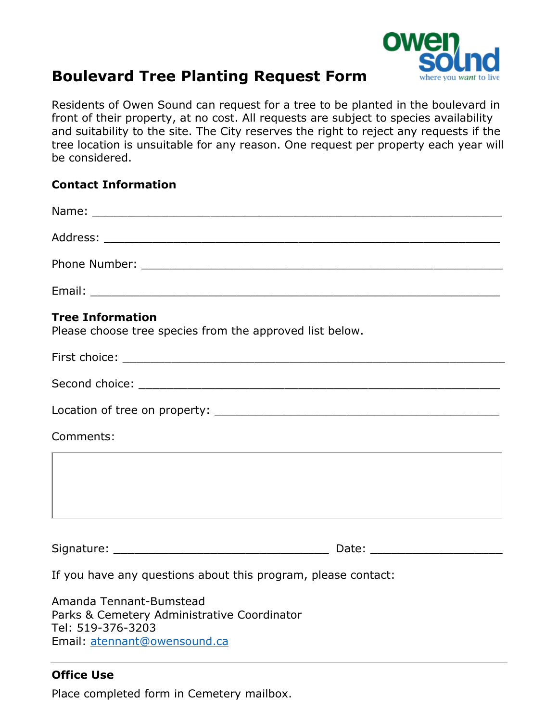

## **Boulevard Tree Planting Request Form**

Residents of Owen Sound can request for a tree to be planted in the boulevard in front of their property, at no cost. All requests are subject to species availability and suitability to the site. The City reserves the right to reject any requests if the tree location is unsuitable for any reason. One request per property each year will be considered.

## **Contact Information**

| <b>Tree Information</b><br>Please choose tree species from the approved list below.                                         |  |  |  |  |  |  |
|-----------------------------------------------------------------------------------------------------------------------------|--|--|--|--|--|--|
|                                                                                                                             |  |  |  |  |  |  |
|                                                                                                                             |  |  |  |  |  |  |
|                                                                                                                             |  |  |  |  |  |  |
| Comments:                                                                                                                   |  |  |  |  |  |  |
|                                                                                                                             |  |  |  |  |  |  |
|                                                                                                                             |  |  |  |  |  |  |
| If you have any questions about this program, please contact:                                                               |  |  |  |  |  |  |
| Amanda Tennant-Bumstead<br>Parks & Cemetery Administrative Coordinator<br>Tel: 519-376-3203<br>Email: atennant@owensound.ca |  |  |  |  |  |  |

## **Office Use**

Place completed form in Cemetery mailbox.